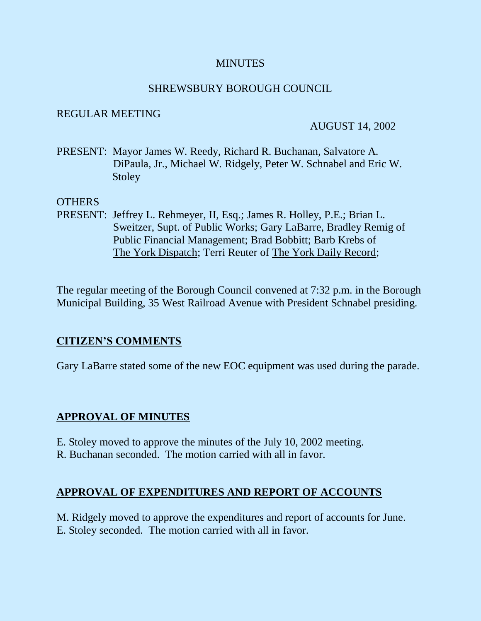#### **MINUTES**

#### SHREWSBURY BOROUGH COUNCIL

#### REGULAR MEETING

#### AUGUST 14, 2002

PRESENT: Mayor James W. Reedy, Richard R. Buchanan, Salvatore A. DiPaula, Jr., Michael W. Ridgely, Peter W. Schnabel and Eric W. **Stoley** 

#### OTHERS

PRESENT: Jeffrey L. Rehmeyer, II, Esq.; James R. Holley, P.E.; Brian L. Sweitzer, Supt. of Public Works; Gary LaBarre, Bradley Remig of Public Financial Management; Brad Bobbitt; Barb Krebs of The York Dispatch; Terri Reuter of The York Daily Record;

The regular meeting of the Borough Council convened at 7:32 p.m. in the Borough Municipal Building, 35 West Railroad Avenue with President Schnabel presiding.

### **CITIZEN'S COMMENTS**

Gary LaBarre stated some of the new EOC equipment was used during the parade.

### **APPROVAL OF MINUTES**

- E. Stoley moved to approve the minutes of the July 10, 2002 meeting.
- R. Buchanan seconded. The motion carried with all in favor.

### **APPROVAL OF EXPENDITURES AND REPORT OF ACCOUNTS**

M. Ridgely moved to approve the expenditures and report of accounts for June. E. Stoley seconded. The motion carried with all in favor.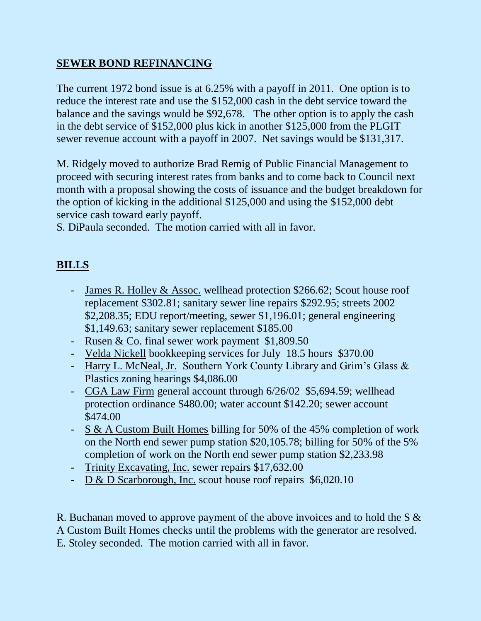## **SEWER BOND REFINANCING**

The current 1972 bond issue is at 6.25% with a payoff in 2011. One option is to reduce the interest rate and use the \$152,000 cash in the debt service toward the balance and the savings would be \$92,678. The other option is to apply the cash in the debt service of \$152,000 plus kick in another \$125,000 from the PLGIT sewer revenue account with a payoff in 2007. Net savings would be \$131,317.

M. Ridgely moved to authorize Brad Remig of Public Financial Management to proceed with securing interest rates from banks and to come back to Council next month with a proposal showing the costs of issuance and the budget breakdown for the option of kicking in the additional \$125,000 and using the \$152,000 debt service cash toward early payoff.

S. DiPaula seconded. The motion carried with all in favor.

# **BILLS**

- James R. Holley & Assoc. wellhead protection \$266.62; Scout house roof replacement \$302.81; sanitary sewer line repairs \$292.95; streets 2002 \$2,208.35; EDU report/meeting, sewer \$1,196.01; general engineering \$1,149.63; sanitary sewer replacement \$185.00
- Rusen & Co. final sewer work payment \$1,809.50
- Velda Nickell bookkeeping services for July 18.5 hours \$370.00
- Harry L. McNeal, Jr. Southern York County Library and Grim's Glass & Plastics zoning hearings \$4,086.00
- CGA Law Firm general account through 6/26/02 \$5,694.59; wellhead protection ordinance \$480.00; water account \$142.20; sewer account \$474.00
- S & A Custom Built Homes billing for 50% of the 45% completion of work on the North end sewer pump station \$20,105.78; billing for 50% of the 5% completion of work on the North end sewer pump station \$2,233.98
- Trinity Excavating, Inc. sewer repairs \$17,632.00
- D & D Scarborough, Inc. scout house roof repairs \$6,020.10

R. Buchanan moved to approve payment of the above invoices and to hold the S & A Custom Built Homes checks until the problems with the generator are resolved. E. Stoley seconded. The motion carried with all in favor.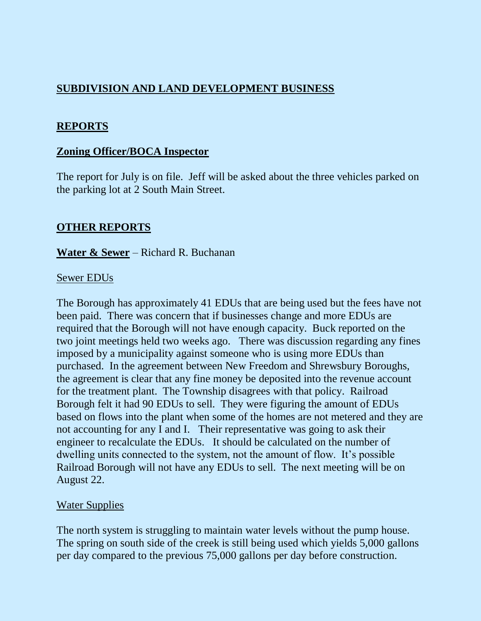## **SUBDIVISION AND LAND DEVELOPMENT BUSINESS**

### **REPORTS**

#### **Zoning Officer/BOCA Inspector**

The report for July is on file. Jeff will be asked about the three vehicles parked on the parking lot at 2 South Main Street.

#### **OTHER REPORTS**

**Water & Sewer** – Richard R. Buchanan

#### Sewer EDUs

The Borough has approximately 41 EDUs that are being used but the fees have not been paid. There was concern that if businesses change and more EDUs are required that the Borough will not have enough capacity. Buck reported on the two joint meetings held two weeks ago. There was discussion regarding any fines imposed by a municipality against someone who is using more EDUs than purchased. In the agreement between New Freedom and Shrewsbury Boroughs, the agreement is clear that any fine money be deposited into the revenue account for the treatment plant. The Township disagrees with that policy. Railroad Borough felt it had 90 EDUs to sell. They were figuring the amount of EDUs based on flows into the plant when some of the homes are not metered and they are not accounting for any I and I. Their representative was going to ask their engineer to recalculate the EDUs. It should be calculated on the number of dwelling units connected to the system, not the amount of flow. It's possible Railroad Borough will not have any EDUs to sell. The next meeting will be on August 22.

#### Water Supplies

The north system is struggling to maintain water levels without the pump house. The spring on south side of the creek is still being used which yields 5,000 gallons per day compared to the previous 75,000 gallons per day before construction.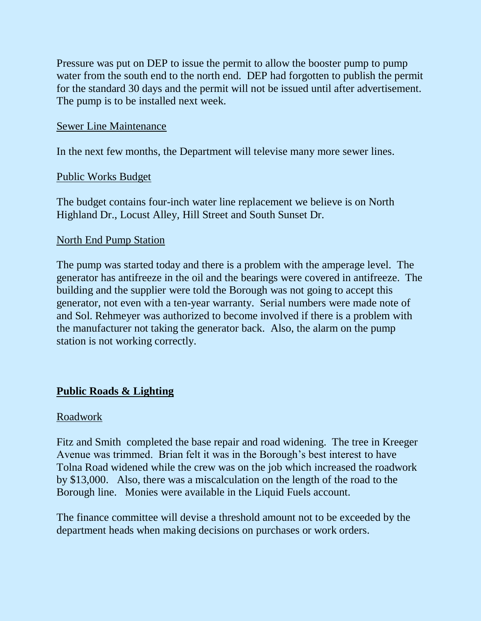Pressure was put on DEP to issue the permit to allow the booster pump to pump water from the south end to the north end. DEP had forgotten to publish the permit for the standard 30 days and the permit will not be issued until after advertisement. The pump is to be installed next week.

#### Sewer Line Maintenance

In the next few months, the Department will televise many more sewer lines.

#### Public Works Budget

The budget contains four-inch water line replacement we believe is on North Highland Dr., Locust Alley, Hill Street and South Sunset Dr.

#### North End Pump Station

The pump was started today and there is a problem with the amperage level. The generator has antifreeze in the oil and the bearings were covered in antifreeze. The building and the supplier were told the Borough was not going to accept this generator, not even with a ten-year warranty. Serial numbers were made note of and Sol. Rehmeyer was authorized to become involved if there is a problem with the manufacturer not taking the generator back. Also, the alarm on the pump station is not working correctly.

## **Public Roads & Lighting**

#### Roadwork

Fitz and Smith completed the base repair and road widening. The tree in Kreeger Avenue was trimmed. Brian felt it was in the Borough's best interest to have Tolna Road widened while the crew was on the job which increased the roadwork by \$13,000. Also, there was a miscalculation on the length of the road to the Borough line. Monies were available in the Liquid Fuels account.

The finance committee will devise a threshold amount not to be exceeded by the department heads when making decisions on purchases or work orders.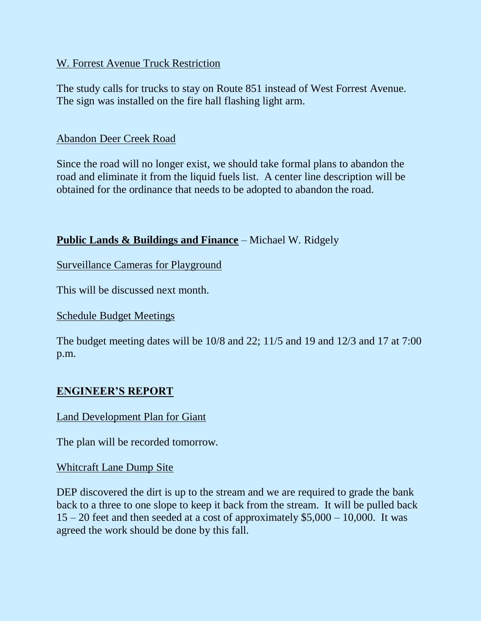### W. Forrest Avenue Truck Restriction

The study calls for trucks to stay on Route 851 instead of West Forrest Avenue. The sign was installed on the fire hall flashing light arm.

#### Abandon Deer Creek Road

Since the road will no longer exist, we should take formal plans to abandon the road and eliminate it from the liquid fuels list. A center line description will be obtained for the ordinance that needs to be adopted to abandon the road.

### **Public Lands & Buildings and Finance** – Michael W. Ridgely

Surveillance Cameras for Playground

This will be discussed next month.

### Schedule Budget Meetings

The budget meeting dates will be 10/8 and 22; 11/5 and 19 and 12/3 and 17 at 7:00 p.m.

## **ENGINEER'S REPORT**

### Land Development Plan for Giant

The plan will be recorded tomorrow.

### Whitcraft Lane Dump Site

DEP discovered the dirt is up to the stream and we are required to grade the bank back to a three to one slope to keep it back from the stream. It will be pulled back  $15 - 20$  feet and then seeded at a cost of approximately \$5,000 – 10,000. It was agreed the work should be done by this fall.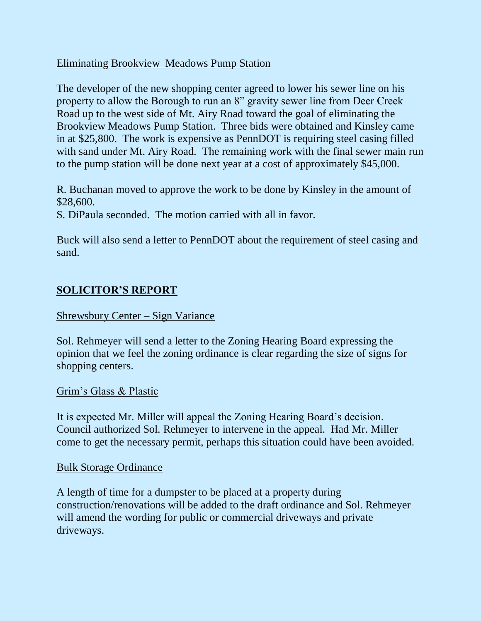### Eliminating Brookview Meadows Pump Station

The developer of the new shopping center agreed to lower his sewer line on his property to allow the Borough to run an 8" gravity sewer line from Deer Creek Road up to the west side of Mt. Airy Road toward the goal of eliminating the Brookview Meadows Pump Station. Three bids were obtained and Kinsley came in at \$25,800. The work is expensive as PennDOT is requiring steel casing filled with sand under Mt. Airy Road. The remaining work with the final sewer main run to the pump station will be done next year at a cost of approximately \$45,000.

R. Buchanan moved to approve the work to be done by Kinsley in the amount of \$28,600.

S. DiPaula seconded. The motion carried with all in favor.

Buck will also send a letter to PennDOT about the requirement of steel casing and sand.

## **SOLICITOR'S REPORT**

### Shrewsbury Center – Sign Variance

Sol. Rehmeyer will send a letter to the Zoning Hearing Board expressing the opinion that we feel the zoning ordinance is clear regarding the size of signs for shopping centers.

### Grim's Glass & Plastic

It is expected Mr. Miller will appeal the Zoning Hearing Board's decision. Council authorized Sol. Rehmeyer to intervene in the appeal. Had Mr. Miller come to get the necessary permit, perhaps this situation could have been avoided.

### Bulk Storage Ordinance

A length of time for a dumpster to be placed at a property during construction/renovations will be added to the draft ordinance and Sol. Rehmeyer will amend the wording for public or commercial driveways and private driveways.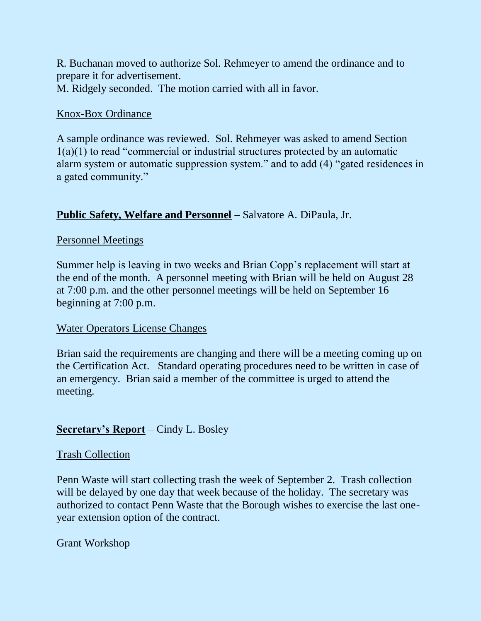R. Buchanan moved to authorize Sol. Rehmeyer to amend the ordinance and to prepare it for advertisement. M. Ridgely seconded. The motion carried with all in favor.

### Knox-Box Ordinance

A sample ordinance was reviewed. Sol. Rehmeyer was asked to amend Section 1(a)(1) to read "commercial or industrial structures protected by an automatic alarm system or automatic suppression system." and to add (4) "gated residences in a gated community."

### **Public Safety, Welfare and Personnel –** Salvatore A. DiPaula, Jr.

### Personnel Meetings

Summer help is leaving in two weeks and Brian Copp's replacement will start at the end of the month. A personnel meeting with Brian will be held on August 28 at 7:00 p.m. and the other personnel meetings will be held on September 16 beginning at 7:00 p.m.

### Water Operators License Changes

Brian said the requirements are changing and there will be a meeting coming up on the Certification Act. Standard operating procedures need to be written in case of an emergency. Brian said a member of the committee is urged to attend the meeting.

### **Secretary's Report** – Cindy L. Bosley

### Trash Collection

Penn Waste will start collecting trash the week of September 2. Trash collection will be delayed by one day that week because of the holiday. The secretary was authorized to contact Penn Waste that the Borough wishes to exercise the last oneyear extension option of the contract.

### Grant Workshop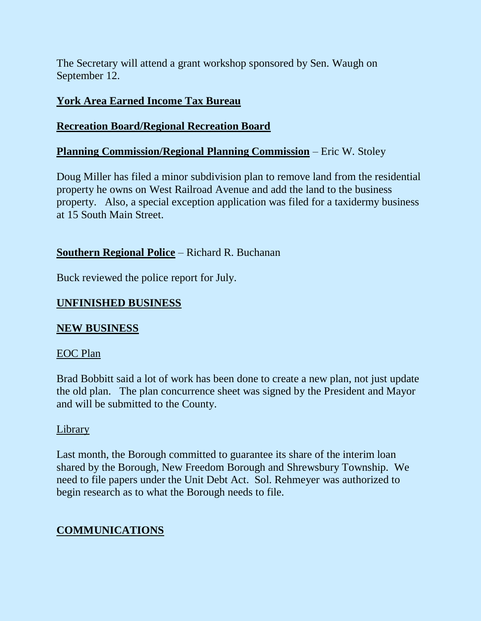The Secretary will attend a grant workshop sponsored by Sen. Waugh on September 12.

### **York Area Earned Income Tax Bureau**

## **Recreation Board/Regional Recreation Board**

## **Planning Commission/Regional Planning Commission** – Eric W. Stoley

Doug Miller has filed a minor subdivision plan to remove land from the residential property he owns on West Railroad Avenue and add the land to the business property. Also, a special exception application was filed for a taxidermy business at 15 South Main Street.

### **Southern Regional Police** – Richard R. Buchanan

Buck reviewed the police report for July.

## **UNFINISHED BUSINESS**

### **NEW BUSINESS**

### EOC Plan

Brad Bobbitt said a lot of work has been done to create a new plan, not just update the old plan. The plan concurrence sheet was signed by the President and Mayor and will be submitted to the County.

### Library

Last month, the Borough committed to guarantee its share of the interim loan shared by the Borough, New Freedom Borough and Shrewsbury Township. We need to file papers under the Unit Debt Act. Sol. Rehmeyer was authorized to begin research as to what the Borough needs to file.

## **COMMUNICATIONS**